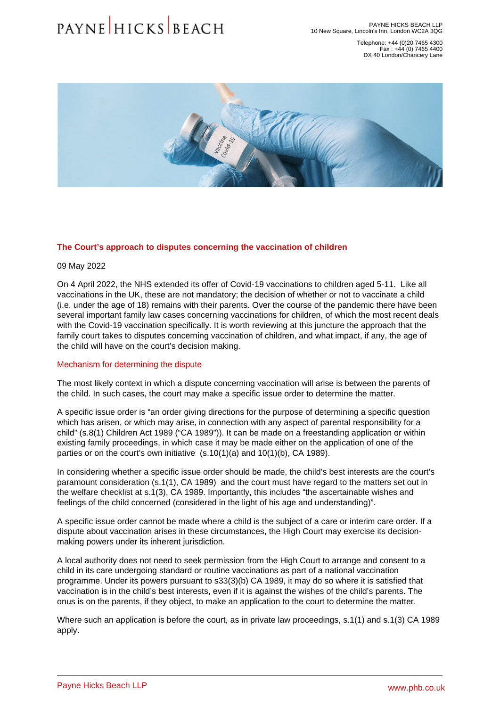Telephone: +44 (0)20 7465 4300 Fax : +44 (0) 7465 4400 DX 40 London/Chancery Lane

## The Court's approach to disputes concerning the vaccination of children

09 May 2022

On 4 April 2022, the NHS extended its offer of Covid-19 vaccinations to children aged 5-11. Like all vaccinations in the UK, these are not mandatory; the decision of whether or not to vaccinate a child (i.e. under the age of 18) remains with their parents. Over the course of the pandemic there have been several important family law cases concerning vaccinations for children, of which the most recent deals with the Covid-19 vaccination specifically. It is worth reviewing at this juncture the approach that the family court takes to disputes concerning vaccination of children, and what impact, if any, the age of the child will have on the court's decision making.

## Mechanism for determining the dispute

The most likely context in which a dispute concerning vaccination will arise is between the parents of the child. In such cases, the court may make a specific issue order to determine the matter.

A specific issue order is "an order giving directions for the purpose of determining a specific question which has arisen, or which may arise, in connection with any aspect of parental responsibility for a child" (s.8(1) Children Act 1989 ("CA 1989")). It can be made on a freestanding application or within existing family proceedings, in which case it may be made either on the application of one of the parties or on the court's own initiative (s.10(1)(a) and 10(1)(b), CA 1989).

In considering whether a specific issue order should be made, the child's best interests are the court's paramount consideration (s.1(1), CA 1989) and the court must have regard to the matters set out in the welfare checklist at s.1(3), CA 1989. Importantly, this includes "the ascertainable wishes and feelings of the child concerned (considered in the light of his age and understanding)".

A specific issue order cannot be made where a child is the subject of a care or interim care order. If a dispute about vaccination arises in these circumstances, the High Court may exercise its decisionmaking powers under its inherent jurisdiction.

A local authority does not need to seek permission from the High Court to arrange and consent to a child in its care undergoing standard or routine vaccinations as part of a national vaccination programme. Under its powers pursuant to s33(3)(b) CA 1989, it may do so where it is satisfied that vaccination is in the child's best interests, even if it is against the wishes of the child's parents. The onus is on the parents, if they object, to make an application to the court to determine the matter.

Where such an application is before the court, as in private law proceedings, s.1(1) and s.1(3) CA 1989 apply.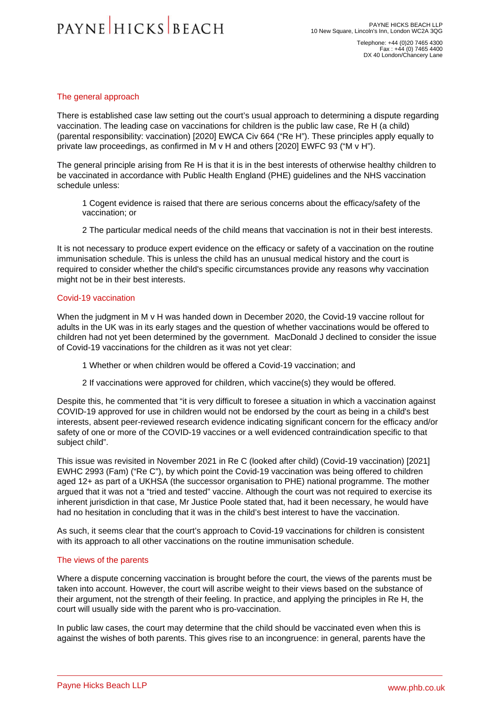Telephone: +44 (0)20 7465 4300 Fax : +44 (0) 7465 4400 DX 40 London/Chancery Lane

## The general approach

There is established case law setting out the court's usual approach to determining a dispute regarding vaccination. The leading case on vaccinations for children is the public law case, Re H (a child) (parental responsibility: vaccination) [2020] EWCA Civ 664 ("Re H"). These principles apply equally to private law proceedings, as confirmed in M v H and others [2020] EWFC 93 ("M v H").

The general principle arising from Re H is that it is in the best interests of otherwise healthy children to be vaccinated in accordance with Public Health England (PHE) guidelines and the NHS vaccination schedule unless:

1 Cogent evidence is raised that there are serious concerns about the efficacy/safety of the vaccination; or

2 The particular medical needs of the child means that vaccination is not in their best interests.

It is not necessary to produce expert evidence on the efficacy or safety of a vaccination on the routine immunisation schedule. This is unless the child has an unusual medical history and the court is required to consider whether the child's specific circumstances provide any reasons why vaccination might not be in their best interests.

# Covid-19 vaccination

When the judgment in M v H was handed down in December 2020, the Covid-19 vaccine rollout for adults in the UK was in its early stages and the question of whether vaccinations would be offered to children had not yet been determined by the government. MacDonald J declined to consider the issue of Covid-19 vaccinations for the children as it was not yet clear:

- 1 Whether or when children would be offered a Covid-19 vaccination; and
- 2 If vaccinations were approved for children, which vaccine(s) they would be offered.

Despite this, he commented that "it is very difficult to foresee a situation in which a vaccination against COVID-19 approved for use in children would not be endorsed by the court as being in a child's best interests, absent peer-reviewed research evidence indicating significant concern for the efficacy and/or safety of one or more of the COVID-19 vaccines or a well evidenced contraindication specific to that subject child".

This issue was revisited in November 2021 in Re C (looked after child) (Covid-19 vaccination) [2021] EWHC 2993 (Fam) ("Re C"), by which point the Covid-19 vaccination was being offered to children aged 12+ as part of a UKHSA (the successor organisation to PHE) national programme. The mother argued that it was not a "tried and tested" vaccine. Although the court was not required to exercise its inherent jurisdiction in that case, Mr Justice Poole stated that, had it been necessary, he would have had no hesitation in concluding that it was in the child's best interest to have the vaccination.

As such, it seems clear that the court's approach to Covid-19 vaccinations for children is consistent with its approach to all other vaccinations on the routine immunisation schedule.

## The views of the parents

Where a dispute concerning vaccination is brought before the court, the views of the parents must be taken into account. However, the court will ascribe weight to their views based on the substance of their argument, not the strength of their feeling. In practice, and applying the principles in Re H, the court will usually side with the parent who is pro-vaccination.

In public law cases, the court may determine that the child should be vaccinated even when this is against the wishes of both parents. This gives rise to an incongruence: in general, parents have the